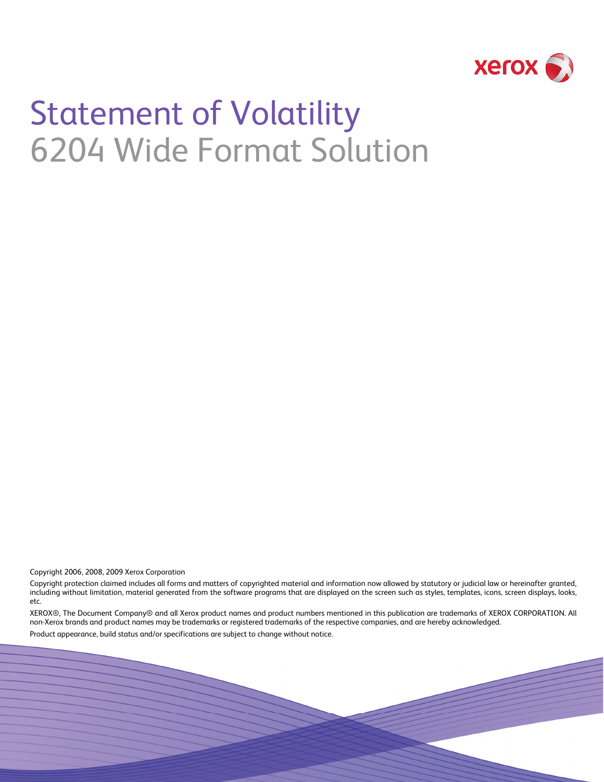

# Statement of Volatility 6204 Wide Format Solution

Copyright 2006, 2008, 2009 Xerox Corporation

Copyright protection claimed includes all forms and matters of copyrighted material and information now allowed by statutory or judicial law or hereinafter granted, including without limitation, material generated from the software programs that are displayed on the screen such as styles, templates, icons, screen displays, looks, etc.

XEROX®, The Document Company® and all Xerox product names and product numbers mentioned in this publication are trademarks of XEROX CORPORATION. All non-Xerox brands and product names may be trademarks or registered trademarks of the respective companies, and are hereby acknowledged.

Product appearance, build status and/or specifications are subject to change without notice.

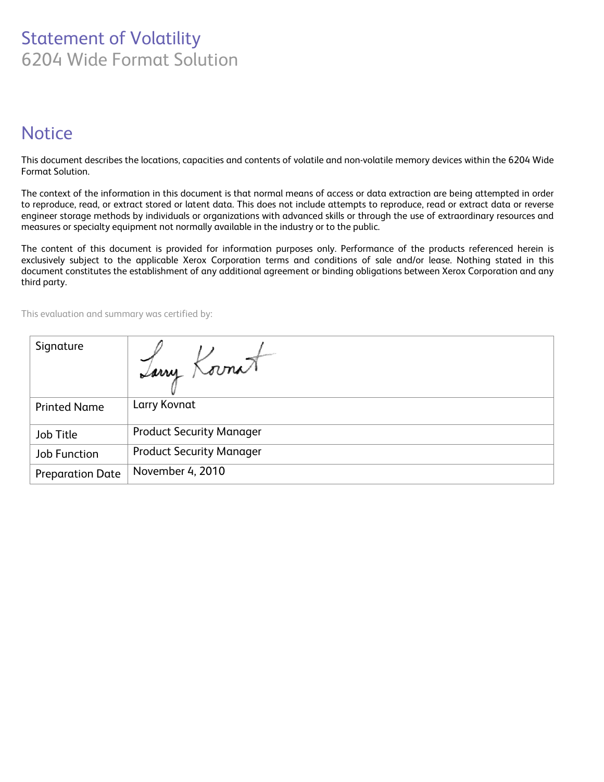# Statement of Volatility 6204 Wide Format Solution

# **Notice**

This document describes the locations, capacities and contents of volatile and non-volatile memory devices within the 6204 Wide Format Solution.

The context of the information in this document is that normal means of access or data extraction are being attempted in order to reproduce, read, or extract stored or latent data. This does not include attempts to reproduce, read or extract data or reverse engineer storage methods by individuals or organizations with advanced skills or through the use of extraordinary resources and measures or specialty equipment not normally available in the industry or to the public.

The content of this document is provided for information purposes only. Performance of the products referenced herein is exclusively subject to the applicable Xerox Corporation terms and conditions of sale and/or lease. Nothing stated in this document constitutes the establishment of any additional agreement or binding obligations between Xerox Corporation and any third party.

This evaluation and summary was certified by:

| Signature               | Iany Kornat                     |
|-------------------------|---------------------------------|
| <b>Printed Name</b>     | Larry Kovnat                    |
| Job Title               | <b>Product Security Manager</b> |
| <b>Job Function</b>     | <b>Product Security Manager</b> |
| <b>Preparation Date</b> | November 4, 2010                |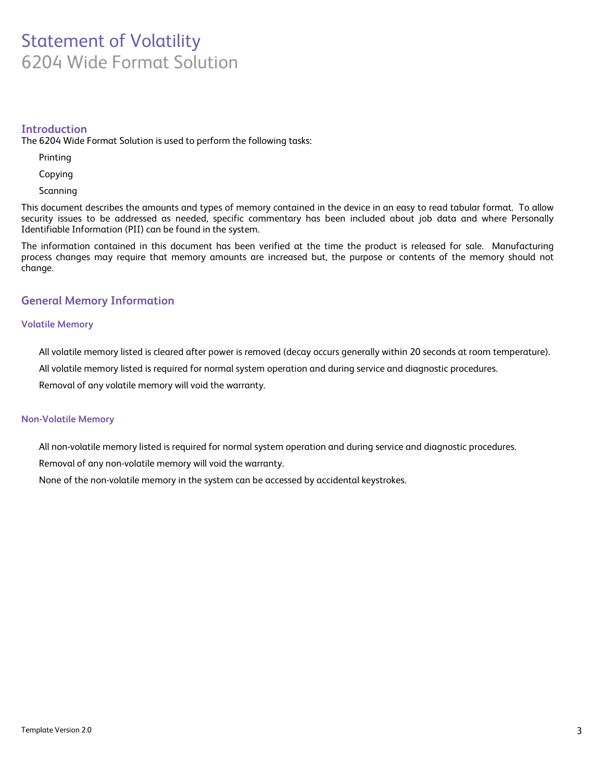## Statement of Volatility 6204 Wide Format Solution

#### **Introduction**

The 6204 Wide Format Solution is used to perform the following tasks:

Printing

Copying

Scanning

This document describes the amounts and types of memory contained in the device in an easy to read tabular format. To allow security issues to be addressed as needed, specific commentary has been included about job data and where Personally Identifiable Information (PII) can be found in the system.

The information contained in this document has been verified at the time the product is released for sale. Manufacturing process changes may require that memory amounts are increased but, the purpose or contents of the memory should not change.

#### **General Memory Information**

#### **Volatile Memory**

All volatile memory listed is cleared after power is removed (decay occurs generally within 20 seconds at room temperature).

All volatile memory listed is required for normal system operation and during service and diagnostic procedures.

Removal of any volatile memory will void the warranty.

#### **Non-Volatile Memory**

All non-volatile memory listed is required for normal system operation and during service and diagnostic procedures.

Removal of any non-volatile memory will void the warranty.

None of the non-volatile memory in the system can be accessed by accidental keystrokes.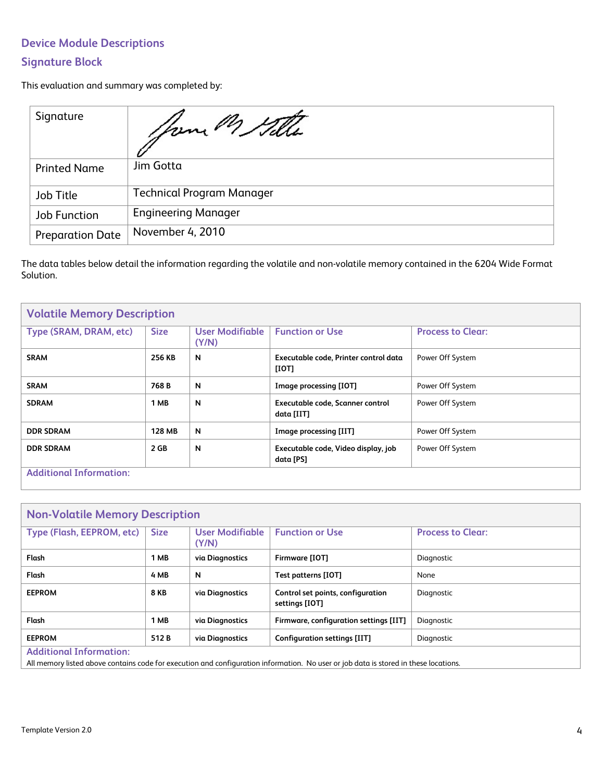## **Device Module Descriptions**

### **Signature Block**

This evaluation and summary was completed by:

| Signature               | your M Sille                     |
|-------------------------|----------------------------------|
| <b>Printed Name</b>     | Jim Gotta                        |
| Job Title               | <b>Technical Program Manager</b> |
| Job Function            | <b>Engineering Manager</b>       |
| <b>Preparation Date</b> | November 4, 2010                 |

The data tables below detail the information regarding the volatile and non-volatile memory contained in the 6204 Wide Format Solution.

| <b>Volatile Memory Description</b> |               |                          |                                                  |                          |
|------------------------------------|---------------|--------------------------|--------------------------------------------------|--------------------------|
| Type (SRAM, DRAM, etc)             | <b>Size</b>   | User Modifiable<br>(Y/N) | <b>Function or Use</b>                           | <b>Process to Clear:</b> |
| <b>SRAM</b>                        | 256 KB        | N                        | Executable code, Printer control data<br>[IOT]   | Power Off System         |
| <b>SRAM</b>                        | 768 B         | N                        | Image processing [IOT]                           | Power Off System         |
| <b>SDRAM</b>                       | 1 MB          | N                        | Executable code, Scanner control<br>data [IIT]   | Power Off System         |
| <b>DDR SDRAM</b>                   | <b>128 MB</b> | N                        | Image processing [IIT]                           | Power Off System         |
| <b>DDR SDRAM</b>                   | 2 GB          | N                        | Executable code, Video display, job<br>data [PS] | Power Off System         |
| <b>Additional Information:</b>     |               |                          |                                                  |                          |

| <b>Non-Volatile Memory Description</b> |             |                                 |                                                     |                          |
|----------------------------------------|-------------|---------------------------------|-----------------------------------------------------|--------------------------|
| Type (Flash, EEPROM, etc)              | <b>Size</b> | <b>User Modifiable</b><br>(Y/N) | <b>Function or Use</b>                              | <b>Process to Clear:</b> |
| Flash                                  | 1 MB        | via Diagnostics                 | Firmware [IOT]                                      | Diagnostic               |
| Flash                                  | 4 MB        | N                               | Test patterns [IOT]                                 | None                     |
| <b>EEPROM</b>                          | <b>8 KB</b> | via Diagnostics                 | Control set points, configuration<br>settings [IOT] | Diagnostic               |
| Flash                                  | 1 MB        | via Diagnostics                 | Firmware, configuration settings [IIT]              | Diagnostic               |
| <b>EEPROM</b>                          | 512 B       | via Diagnostics                 | Configuration settings [IIT]                        | Diagnostic               |
| <b>Additional Information:</b>         |             |                                 |                                                     |                          |

All memory listed above contains code for execution and configuration information. No user or job data is stored in these locations.